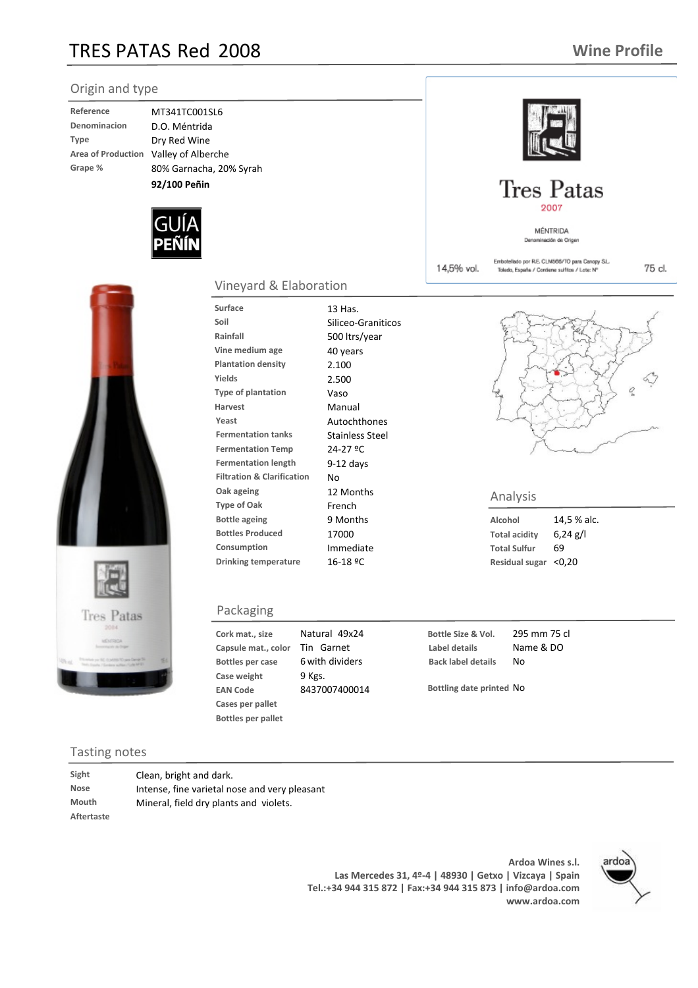## TRES PATAS Red 2008

75 cl.



| Reference                 |
|---------------------------|
| Denominacion              |
| <b>Type</b>               |
| <b>Area of Production</b> |
| Grape %                   |

**D.O. Méntrida Dry Red Wine Grape %** 80% Garnacha, 20% Syrah **Area of Production** Valley of Alberche **Reference** MT341TC001SL6 **92/100 Peñin**





### Vineyard & Elaboration

Surface 13 Has. **Soil** Siliceo-Graniticos **Rainfall** 500 ltrs/year **Vine medium age** 40 years **Plantation density** 2.100 **Yields** 2.500 **Type of plantation** Vaso **Harvest** Manual Yeast **Autochthones Fermentation tanks** Stainless Steel **Fermentation Temp** 24-27 ºC **Fermentation length** 9-12 days **Filtration & Clarification** No **Oak ageing** 12 Months **Bottle ageing** 9 Months **Bottles Produced** 17000 **Consumption** Immediate **Drinking temperature** 16-18 ºC **The Contract Contries Contries of Oak** Analysis<br>Type of Oak **French French** 

#### Packaging

**Cork mat., size Capsule** mat., color **Case weight** 9 Kgs. **EAN Code** 8437007400014 **Cases per pallet Bottles per pallet** 49x24 Natural Tin Garnet **Bottles** per case 6 with dividers

**Bottle Size & Vol.** 295 mm 75 cl **Label details** Name & DO **Back label details** No

**Bottling date printed** No

#### Tasting notes

**Aftertaste**

**Sight** Clean, bright and dark. **Nose** Intense, fine varietal nose and very pleasant **Mouth** Mineral, field dry plants and violets.

> **Ardoa Wines s.l. Las Mercedes 31, 4º-4 | 48930 | Getxo | Vizcaya | Spain Tel.:+34 944 315 872 | Fax:+34 944 315 873 | info@ardoa.com www.ardoa.com**





**Tres Patas** 2007

> MÉNTRIDA Denom

Embotellado por R.E. CLM566/TO para Canopy S.L.

Toledo, España / Contiene suffitos / Lote: Nº

14,5% vol.

sión de Origer

**Alcohol** 14,5 % alc. **Total acidity** 6,24 g/l **Total Sulfur** 69 **Residual sugar** <0,20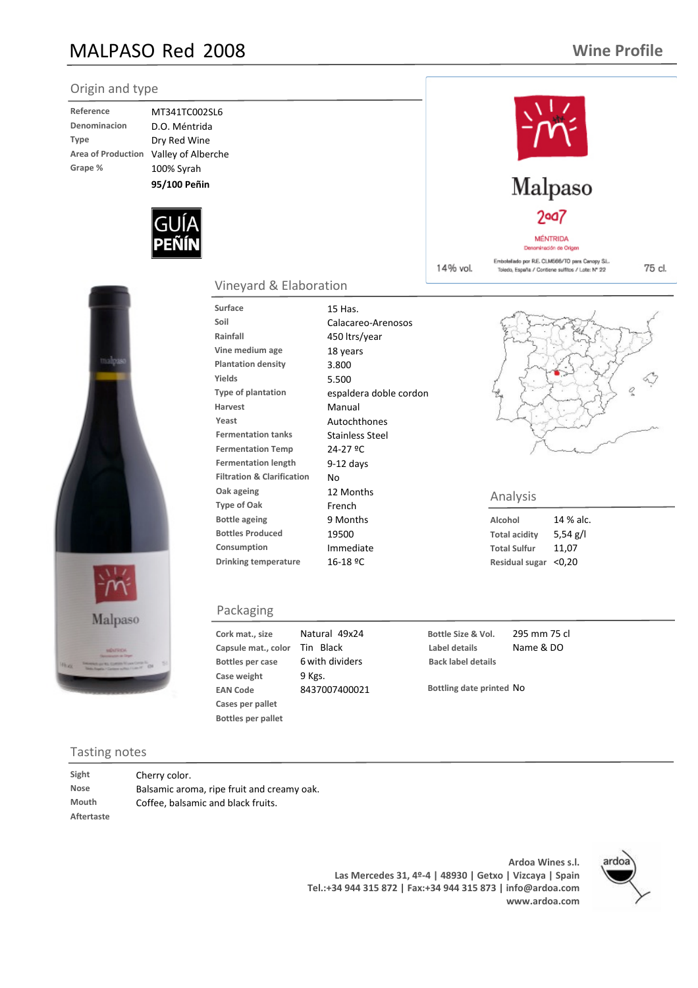## MALPASO Red 2008

### **Wine Profile**

#### Origin and type **Reference** MT341TC002SL6 **Denominacion** D.O. Méntrida **Type** Dry Red Wine **Area of Production** Valley of Alberche **Grape %** 100% Syrah Malpaso **95/100 Peñin** $2$ aa $7$ MÉNTRIDA ominación de Origer Embotellado por R.E. CLM566/TO para Canopy S.L. 14% vol. Toledo, España / Contiene sulfitos / Lote: Nº 22 Vineyard & Elaboration Surface 15 Has. **Soil** Calacareo-Arenosos **Rainfall** 450 ltrs/year **Vine medium age** 18 years **Plantation density** 3.800 **Yields** 5.500 **Type of plantation** espaldera doble cordon **Harvest** Manual Yeast **Autochthones Fermentation tanks** Stainless Steel **Fermentation Temp** 24-27 ºC **Fermentation length** 9-12 days **Filtration & Clarification** No **Oak ageing** 12 Months

**Bottle ageing** 9 Months **Bottles Produced** 19500 **Consumption** Immediate **Drinking temperature** 16-18 ºC



#### Tasting notes

| Sight      | Cherry color.                      |
|------------|------------------------------------|
| Nose       | Balsamic aroma, ripe fruit and cre |
| Mouth      | Coffee, balsamic and black fruits. |
| Aftertaste |                                    |
|            |                                    |

**Ardoa Wines s.l. Las Mercedes 31, 4º-4 | 48930 | Getxo | Vizcaya | Spain Tel.:+34 944 315 872 | Fax:+34 944 315 873 | info@ardoa.com www.ardoa.com**



75 cl.



### **The Contract Contries Contries of Oak** Analysis<br>Type of Oak **French French**

**Alcohol** 14 % alc. **Total acidity** 5,54 g/l **Total Sulfur** 11,07 **Residual sugar** <0,20

**Bottle Size & Vol.** 295 mm 75 cl **Label details** Name & DO **Back label details**

**Bottling date printed** No

### **Case weight** 9 Kgs. **EAN Code** 8437007400021 **Bottles per pallet**

49x24 Natural Tin Black

6 with dividers

**Cork mat., size Capsule** mat., color

**Bottles** per case

Packaging

**Cases per pallet**

# eamy oak.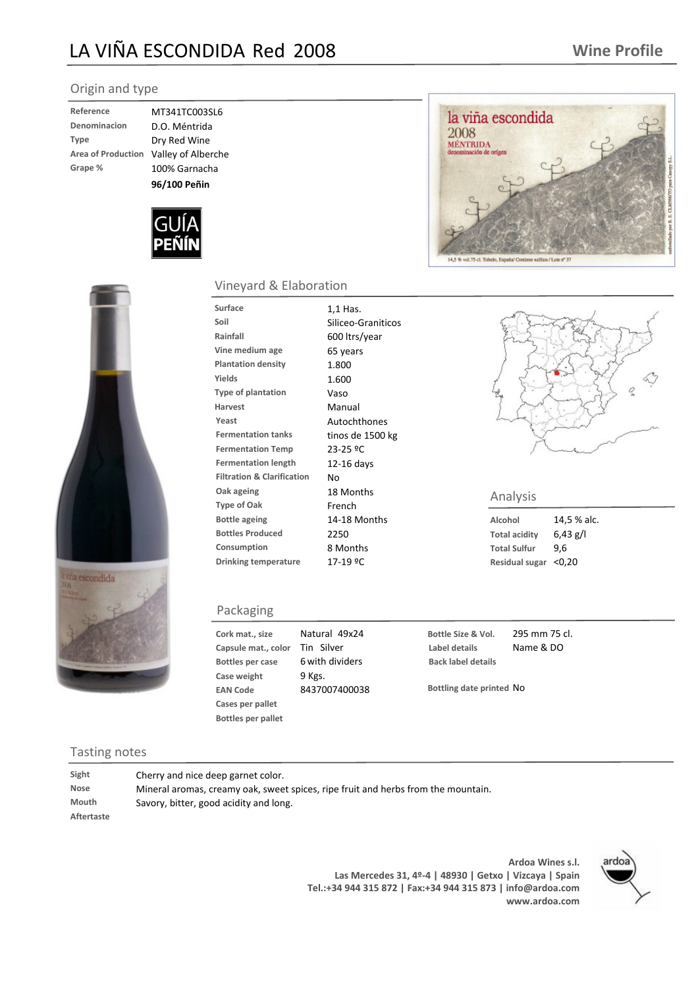## LA VIÑA ESCONDIDA Red 2008

#### Origin and type

| Reference                 |
|---------------------------|
| Denominacion              |
| <b>Type</b>               |
| <b>Area of Production</b> |
| Grape %                   |

**D.O. Méntrida Dry Red Wine Grape %** 100% Garnacha **Valley of Alberche Reference** MT341TC003SL6 **96/100 Peñin**







#### Vineyard & Elaboration

| <b>Surface</b><br>Soil<br>Rainfall<br>Vine medium age<br><b>Plantation density</b><br>Yields<br><b>Type of plantation</b><br><b>Harvest</b><br>Yeast | 1,1 Has.<br>Siliceo-Graniticos<br>600 ltrs/year<br>65 years<br>1.800<br>1.600<br>Vaso<br>Manual<br>Autochthones |                     |
|------------------------------------------------------------------------------------------------------------------------------------------------------|-----------------------------------------------------------------------------------------------------------------|---------------------|
| <b>Fermentation tanks</b><br><b>Fermentation Temp</b>                                                                                                | tinos de 1500 kg<br>23-25 ºC                                                                                    |                     |
| <b>Fermentation length</b><br><b>Filtration &amp; Clarification</b>                                                                                  | $12-16$ days<br>No                                                                                              |                     |
| Oak ageing<br><b>Type of Oak</b>                                                                                                                     | 18 Months<br>French                                                                                             | Analysis            |
| <b>Bottle ageing</b>                                                                                                                                 | 14-18 Months                                                                                                    | Alcohol             |
| <b>Bottles Produced</b>                                                                                                                              | 2250                                                                                                            | Total acidity       |
| Consumption                                                                                                                                          | 8 Months                                                                                                        | <b>Total Sulfur</b> |
| <b>Drinking temperature</b>                                                                                                                          | 17-19 ºC                                                                                                        | Residual sug        |

#### Packaging

**Cork mat., size Capsule** mat., color **Case weight** 9 Kgs. **EAN Code** 8437007400038 **Cases per pallet Bottles per pallet** 49x24 Natural Tin Silver **Bottles** per case 6 with dividers

**Bottle Size & Vol.** 295 mm 75 cl. **Label details** Name & DO **Back label details**

**Bottling date printed** No

Tasting notes

**Aftertaste**

**Sight** Cherry and nice deep garnet color. **Nose** Mineral aromas, creamy oak, sweet spices, ripe fruit and herbs from the mountain. **Mouth** Savory, bitter, good acidity and long.

> **Ardoa Wines s.l. Las Mercedes 31, 4º-4 | 48930 | Getxo | Vizcaya | Spain Tel.:+34 944 315 872 | Fax:+34 944 315 873 | info@ardoa.com www.ardoa.com**





**Total acidity** 6,43 g/l **Total Sulfur** 9,6 **Residual sugar** <0,20

**Alcohol** 14,5 % alc.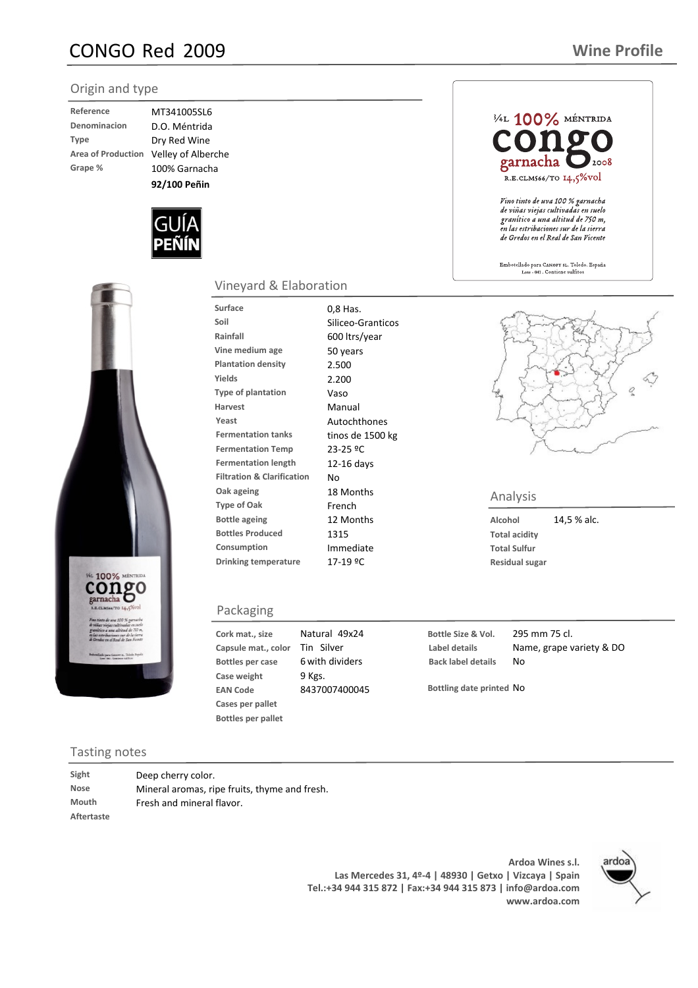## CONGO Red 2009

#### Origin and type

| Reference                 |
|---------------------------|
| Denominacion              |
| <b>Type</b>               |
| <b>Area of Production</b> |
| Grape %                   |

D.O. Méntrida **Dry Red Wine Grape %** 100% Garnacha **Velley of Alberche Reference** MT341005SL6 **92/100 Peñin**





### Tasting notes

| Sight       | Deep cherry color.                            |
|-------------|-----------------------------------------------|
| <b>Nose</b> | Mineral aromas, ripe fruits, thyme and fresh. |
| Mouth       | Fresh and mineral flavor.                     |
| Aftertaste  |                                               |

## **Ardoa Wines s.l. Tel.:+34 944 315 872 | Fax:+34 944 315 873 | info@ardoa.com**



### 3/4L 100% MÉNTRIDA garnacha  $12008$ R.E.CLM566/TO 14,5%VOI Vino tinto de uva 100 % garnacha de viñas viejas cultivadas en suelo granítico a una altitud de 750 m,<br>en las estribaciones sur de la sierra de Gredos en el Real de San Vicente Embotellado para Canopy st. Toledo. España<br>Lote - 041 . Contiene sulfitos

### **Type of Oak** French Analysis **Analysis**<br> **Type of Oak** French **French**

**Alcohol** 14,5 % alc. **Total acidity**

**Bottle Size & Vol.** 295 mm 75 cl. **Label details** Name, grape variety & DO **Back label details** No

**Bottling date printed** No

**Total Sulfur Residual sugar**

**Capsule** mat., color **Case weight** 9 Kgs. **EAN Code** 8437007400045 **Cases per pallet** Tin Silver **Bottles** per case 6 with dividers

**Bottles per pallet**

**Cork mat., size**

Packaging

Surface 0,8 Has.

Vineyard & Elaboration

**Bottle ageing** 12 Months **Bottles Produced** 1315 **Consumption** Immediate **Drinking temperature** 17-19 ºC

49x24 Natural

**Soil** Siliceo-Granticos **Rainfall** 600 ltrs/year **Vine medium age** 50 years **Plantation density** 2.500 **Yields** 2.200 **Type of plantation** Vaso **Harvest** Manual Yeast **Autochthones Fermentation tanks** tinos de 1500 kg **Fermentation Temp** 23-25 ºC **Fermentation length** 12-16 days **Filtration & Clarification** No **Oak ageing** 18 Months

> **Las Mercedes 31, 4º-4 | 48930 | Getxo | Vizcaya | Spain www.ardoa.com**